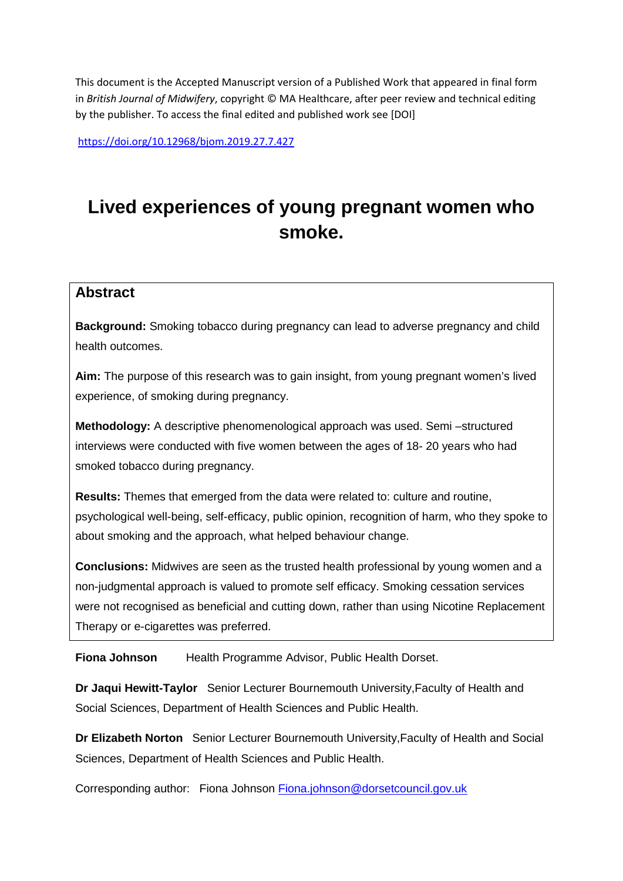This document is the Accepted Manuscript version of a Published Work that appeared in final form in *British Journal of Midwifery*, copyright © MA Healthcare, after peer review and technical editing by the publisher. To access the final edited and published work see [DOI]

<https://doi.org/10.12968/bjom.2019.27.7.427>

# **Lived experiences of young pregnant women who smoke.**

# **Abstract**

**Background:** Smoking tobacco during pregnancy can lead to adverse pregnancy and child health outcomes.

**Aim:** The purpose of this research was to gain insight, from young pregnant women's lived experience, of smoking during pregnancy.

**Methodology:** A descriptive phenomenological approach was used. Semi –structured interviews were conducted with five women between the ages of 18- 20 years who had smoked tobacco during pregnancy.

**Results:** Themes that emerged from the data were related to: culture and routine, psychological well-being, self-efficacy, public opinion, recognition of harm, who they spoke to about smoking and the approach, what helped behaviour change.

**Conclusions:** Midwives are seen as the trusted health professional by young women and a non-judgmental approach is valued to promote self efficacy. Smoking cessation services were not recognised as beneficial and cutting down, rather than using Nicotine Replacement Therapy or e-cigarettes was preferred.

**Fiona Johnson** Health Programme Advisor, Public Health Dorset.

**Dr Jaqui Hewitt-Taylor** Senior Lecturer Bournemouth University,Faculty of Health and Social Sciences, Department of Health Sciences and Public Health.

**Dr Elizabeth Norton** Senior Lecturer Bournemouth University,Faculty of Health and Social Sciences, Department of Health Sciences and Public Health.

Corresponding author: Fiona Johnson [Fiona.johnson@dorsetcouncil.gov.uk](mailto:Fiona.johnson@dorsetcouncil.gov.uk)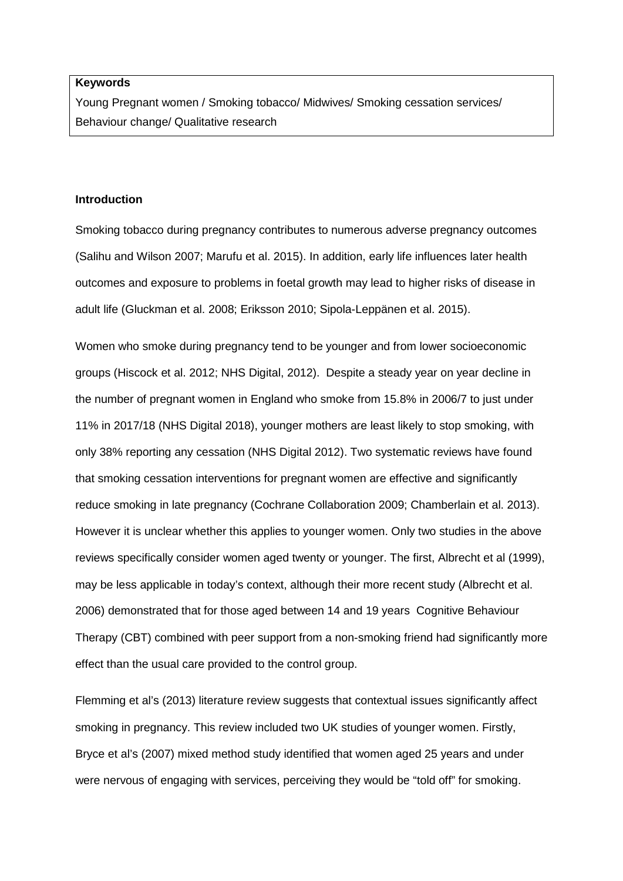# **Keywords**

Young Pregnant women / Smoking tobacco/ Midwives/ Smoking cessation services/ Behaviour change/ Qualitative research

#### **Introduction**

Smoking tobacco during pregnancy contributes to numerous adverse pregnancy outcomes (Salihu and Wilson 2007; Marufu et al. 2015). In addition, early life influences later health outcomes and exposure to problems in foetal growth may lead to higher risks of disease in adult life (Gluckman et al. 2008; Eriksson 2010; Sipola-Leppänen et al. 2015).

Women who smoke during pregnancy tend to be younger and from lower socioeconomic groups (Hiscock et al. 2012; NHS Digital, 2012). Despite a steady year on year decline in the number of pregnant women in England who smoke from 15.8% in 2006/7 to just under 11% in 2017/18 (NHS Digital 2018), younger mothers are least likely to stop smoking, with only 38% reporting any cessation (NHS Digital 2012). Two systematic reviews have found that smoking cessation interventions for pregnant women are effective and significantly reduce smoking in late pregnancy (Cochrane Collaboration 2009; Chamberlain et al. 2013). However it is unclear whether this applies to younger women. Only two studies in the above reviews specifically consider women aged twenty or younger. The first, Albrecht et al (1999), may be less applicable in today's context, although their more recent study (Albrecht et al. 2006) demonstrated that for those aged between 14 and 19 years Cognitive Behaviour Therapy (CBT) combined with peer support from a non-smoking friend had significantly more effect than the usual care provided to the control group.

Flemming et al's (2013) literature review suggests that contextual issues significantly affect smoking in pregnancy. This review included two UK studies of younger women. Firstly, Bryce et al's (2007) mixed method study identified that women aged 25 years and under were nervous of engaging with services, perceiving they would be "told off" for smoking.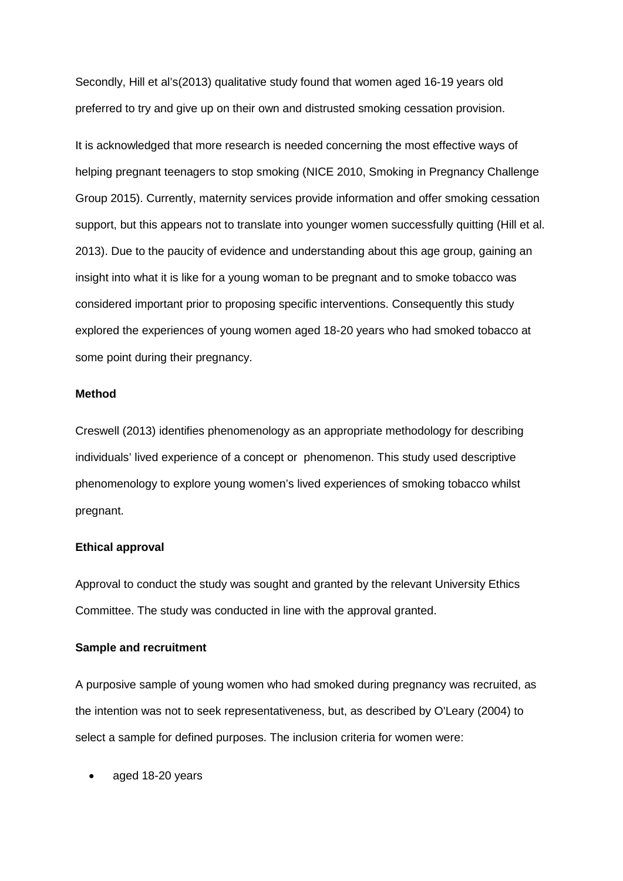Secondly, Hill et al's(2013) qualitative study found that women aged 16-19 years old preferred to try and give up on their own and distrusted smoking cessation provision.

It is acknowledged that more research is needed concerning the most effective ways of helping pregnant teenagers to stop smoking (NICE 2010, Smoking in Pregnancy Challenge Group 2015). Currently, maternity services provide information and offer smoking cessation support, but this appears not to translate into younger women successfully quitting (Hill et al. 2013). Due to the paucity of evidence and understanding about this age group, gaining an insight into what it is like for a young woman to be pregnant and to smoke tobacco was considered important prior to proposing specific interventions. Consequently this study explored the experiences of young women aged 18-20 years who had smoked tobacco at some point during their pregnancy.

# **Method**

Creswell (2013) identifies phenomenology as an appropriate methodology for describing individuals' lived experience of a concept or phenomenon. This study used descriptive phenomenology to explore young women's lived experiences of smoking tobacco whilst pregnant.

#### **Ethical approval**

Approval to conduct the study was sought and granted by the relevant University Ethics Committee. The study was conducted in line with the approval granted.

# **Sample and recruitment**

A purposive sample of young women who had smoked during pregnancy was recruited, as the intention was not to seek representativeness, but, as described by O'Leary (2004) to select a sample for defined purposes. The inclusion criteria for women were:

aged 18-20 years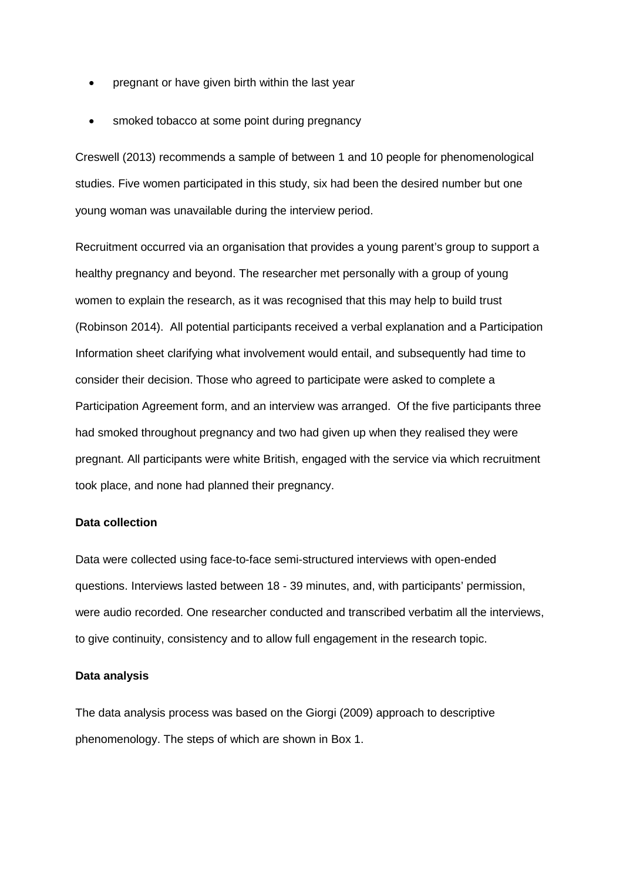- pregnant or have given birth within the last year
- smoked tobacco at some point during pregnancy

Creswell (2013) recommends a sample of between 1 and 10 people for phenomenological studies. Five women participated in this study, six had been the desired number but one young woman was unavailable during the interview period.

Recruitment occurred via an organisation that provides a young parent's group to support a healthy pregnancy and beyond. The researcher met personally with a group of young women to explain the research, as it was recognised that this may help to build trust (Robinson 2014). All potential participants received a verbal explanation and a Participation Information sheet clarifying what involvement would entail, and subsequently had time to consider their decision. Those who agreed to participate were asked to complete a Participation Agreement form, and an interview was arranged. Of the five participants three had smoked throughout pregnancy and two had given up when they realised they were pregnant. All participants were white British, engaged with the service via which recruitment took place, and none had planned their pregnancy.

# **Data collection**

Data were collected using face-to-face semi-structured interviews with open-ended questions. Interviews lasted between 18 - 39 minutes, and, with participants' permission, were audio recorded. One researcher conducted and transcribed verbatim all the interviews, to give continuity, consistency and to allow full engagement in the research topic.

# **Data analysis**

The data analysis process was based on the Giorgi (2009) approach to descriptive phenomenology. The steps of which are shown in Box 1.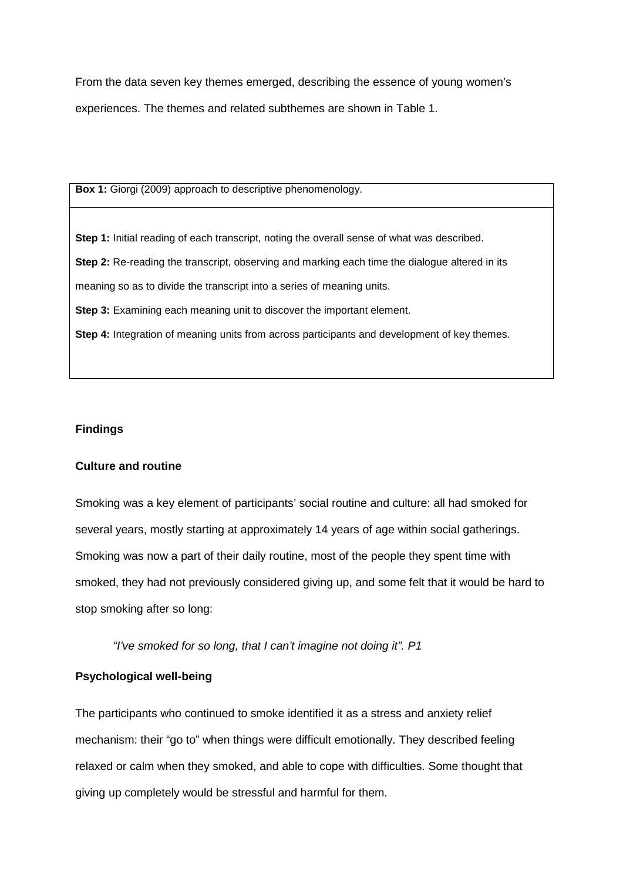From the data seven key themes emerged, describing the essence of young women's experiences. The themes and related subthemes are shown in Table 1.

**Box 1:** Giorgi (2009) approach to descriptive phenomenology.

**Step 1:** Initial reading of each transcript, noting the overall sense of what was described.

**Step 2:** Re-reading the transcript, observing and marking each time the dialogue altered in its

meaning so as to divide the transcript into a series of meaning units.

**Step 3:** Examining each meaning unit to discover the important element.

**Step 4:** Integration of meaning units from across participants and development of key themes.

## **Findings**

## **Culture and routine**

Smoking was a key element of participants' social routine and culture: all had smoked for several years, mostly starting at approximately 14 years of age within social gatherings. Smoking was now a part of their daily routine, most of the people they spent time with smoked, they had not previously considered giving up, and some felt that it would be hard to stop smoking after so long:

*"I've smoked for so long, that I can't imagine not doing it". P1*

# **Psychological well-being**

The participants who continued to smoke identified it as a stress and anxiety relief mechanism: their "go to" when things were difficult emotionally. They described feeling relaxed or calm when they smoked, and able to cope with difficulties. Some thought that giving up completely would be stressful and harmful for them.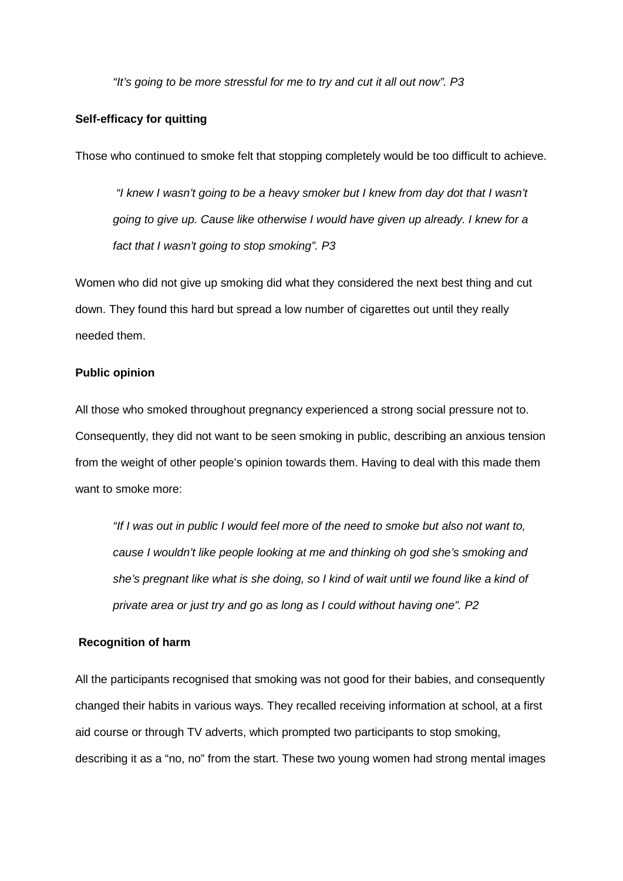*"It's going to be more stressful for me to try and cut it all out now". P3*

#### **Self-efficacy for quitting**

Those who continued to smoke felt that stopping completely would be too difficult to achieve.

*"I knew I wasn't going to be a heavy smoker but I knew from day dot that I wasn't going to give up. Cause like otherwise I would have given up already. I knew for a fact that I wasn't going to stop smoking". P3*

Women who did not give up smoking did what they considered the next best thing and cut down. They found this hard but spread a low number of cigarettes out until they really needed them.

#### **Public opinion**

All those who smoked throughout pregnancy experienced a strong social pressure not to. Consequently, they did not want to be seen smoking in public, describing an anxious tension from the weight of other people's opinion towards them. Having to deal with this made them want to smoke more:

*"If I was out in public I would feel more of the need to smoke but also not want to, cause I wouldn't like people looking at me and thinking oh god she's smoking and she's pregnant like what is she doing, so I kind of wait until we found like a kind of private area or just try and go as long as I could without having one". P2*

#### **Recognition of harm**

All the participants recognised that smoking was not good for their babies, and consequently changed their habits in various ways. They recalled receiving information at school, at a first aid course or through TV adverts, which prompted two participants to stop smoking, describing it as a "no, no" from the start. These two young women had strong mental images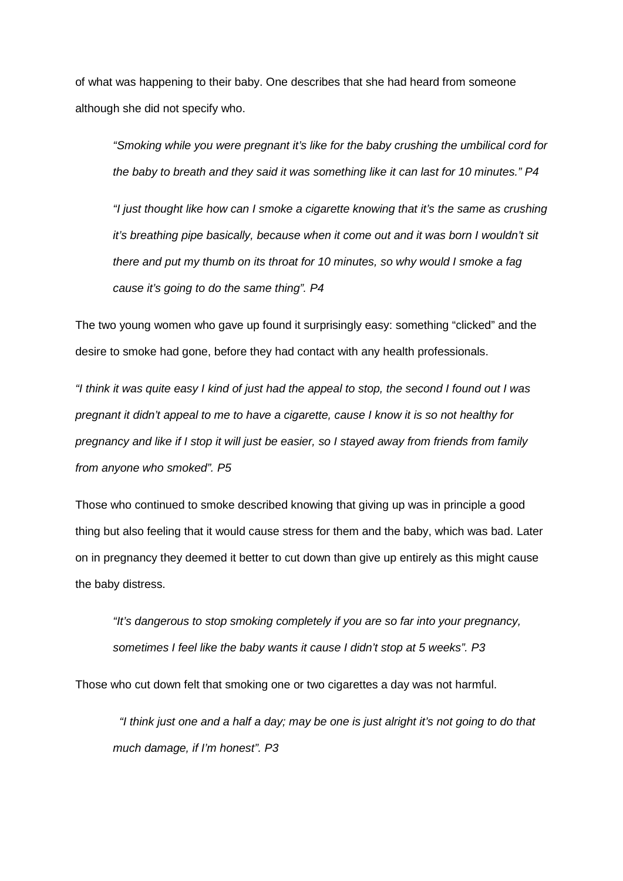of what was happening to their baby. One describes that she had heard from someone although she did not specify who.

*"Smoking while you were pregnant it's like for the baby crushing the umbilical cord for the baby to breath and they said it was something like it can last for 10 minutes." P4* 

*"I just thought like how can I smoke a cigarette knowing that it's the same as crushing it's breathing pipe basically, because when it come out and it was born I wouldn't sit there and put my thumb on its throat for 10 minutes, so why would I smoke a fag cause it's going to do the same thing". P4*

The two young women who gave up found it surprisingly easy: something "clicked" and the desire to smoke had gone, before they had contact with any health professionals.

*"I think it was quite easy I kind of just had the appeal to stop, the second I found out I was pregnant it didn't appeal to me to have a cigarette, cause I know it is so not healthy for pregnancy and like if I stop it will just be easier, so I stayed away from friends from family from anyone who smoked". P5*

Those who continued to smoke described knowing that giving up was in principle a good thing but also feeling that it would cause stress for them and the baby, which was bad. Later on in pregnancy they deemed it better to cut down than give up entirely as this might cause the baby distress.

*"It's dangerous to stop smoking completely if you are so far into your pregnancy, sometimes I feel like the baby wants it cause I didn't stop at 5 weeks". P3*

Those who cut down felt that smoking one or two cigarettes a day was not harmful.

 *"I think just one and a half a day; may be one is just alright it's not going to do that much damage, if I'm honest". P3*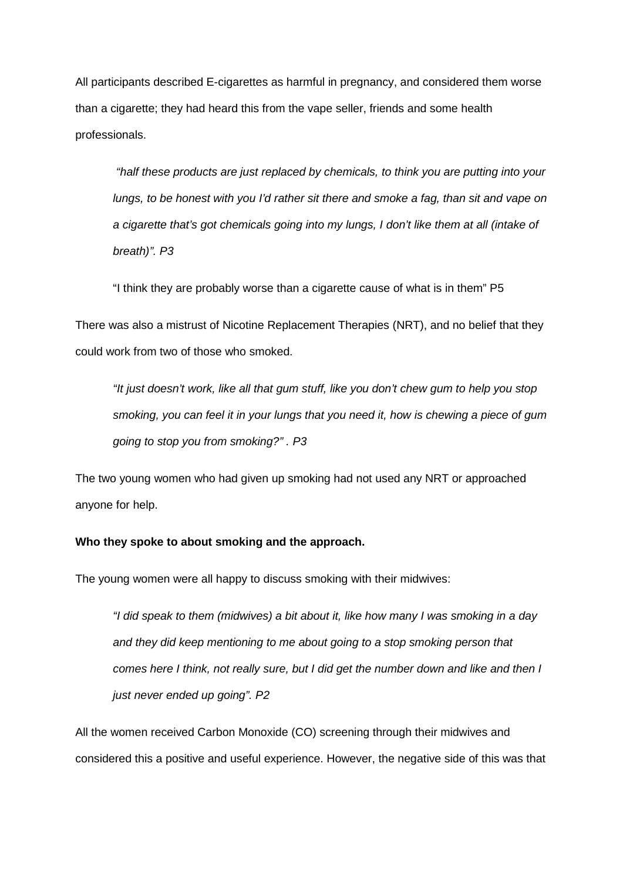All participants described E-cigarettes as harmful in pregnancy, and considered them worse than a cigarette; they had heard this from the vape seller, friends and some health professionals.

*"half these products are just replaced by chemicals, to think you are putting into your lungs, to be honest with you I'd rather sit there and smoke a fag, than sit and vape on a cigarette that's got chemicals going into my lungs, I don't like them at all (intake of breath)". P3*

"I think they are probably worse than a cigarette cause of what is in them" P5

There was also a mistrust of Nicotine Replacement Therapies (NRT), and no belief that they could work from two of those who smoked.

*"It just doesn't work, like all that gum stuff, like you don't chew gum to help you stop smoking, you can feel it in your lungs that you need it, how is chewing a piece of gum going to stop you from smoking?" . P3*

The two young women who had given up smoking had not used any NRT or approached anyone for help.

#### **Who they spoke to about smoking and the approach.**

The young women were all happy to discuss smoking with their midwives:

*"I did speak to them (midwives) a bit about it, like how many I was smoking in a day and they did keep mentioning to me about going to a stop smoking person that comes here I think, not really sure, but I did get the number down and like and then I just never ended up going". P2*

All the women received Carbon Monoxide (CO) screening through their midwives and considered this a positive and useful experience. However, the negative side of this was that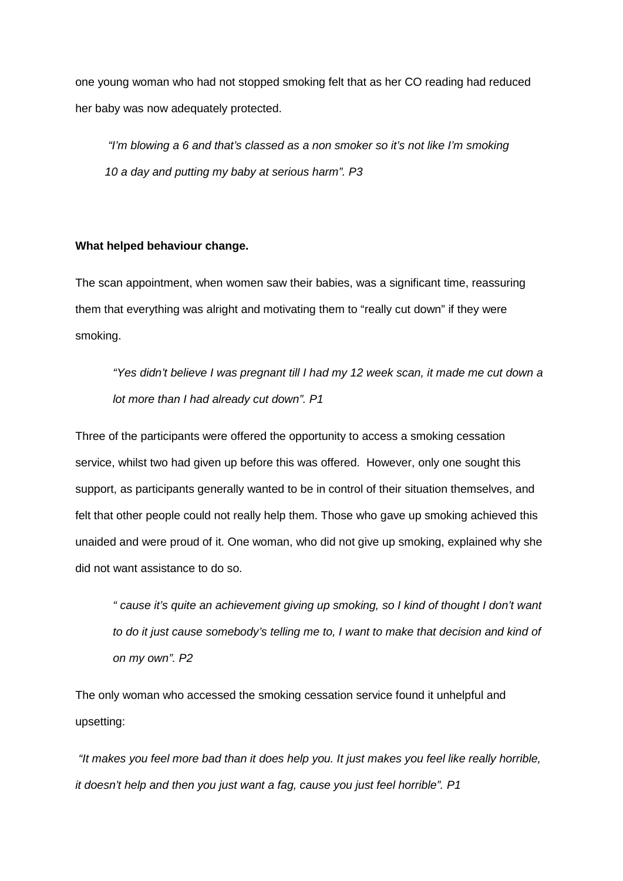one young woman who had not stopped smoking felt that as her CO reading had reduced her baby was now adequately protected.

*"I'm blowing a 6 and that's classed as a non smoker so it's not like I'm smoking 10 a day and putting my baby at serious harm". P3*

#### **What helped behaviour change.**

The scan appointment, when women saw their babies, was a significant time, reassuring them that everything was alright and motivating them to "really cut down" if they were smoking.

*"Yes didn't believe I was pregnant till I had my 12 week scan, it made me cut down a lot more than I had already cut down". P1*

Three of the participants were offered the opportunity to access a smoking cessation service, whilst two had given up before this was offered. However, only one sought this support, as participants generally wanted to be in control of their situation themselves, and felt that other people could not really help them. Those who gave up smoking achieved this unaided and were proud of it. One woman, who did not give up smoking, explained why she did not want assistance to do so.

*" cause it's quite an achievement giving up smoking, so I kind of thought I don't want*  to do it just cause somebody's telling me to, I want to make that decision and kind of *on my own". P2*

The only woman who accessed the smoking cessation service found it unhelpful and upsetting:

*"It makes you feel more bad than it does help you. It just makes you feel like really horrible, it doesn't help and then you just want a fag, cause you just feel horrible". P1*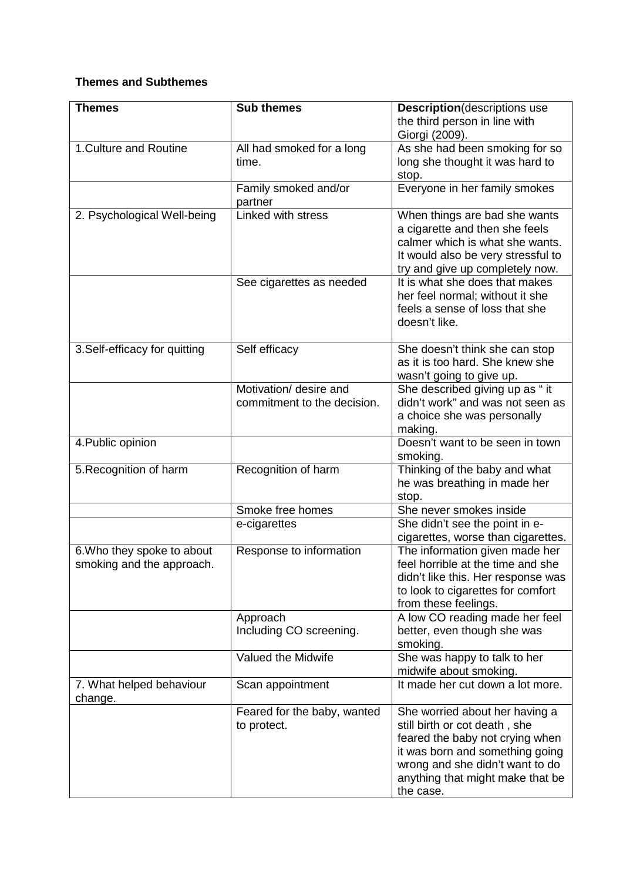# **Themes and Subthemes**

| <b>Themes</b>                                                                                                 | <b>Sub themes</b>                                                                                                                                                                       | <b>Description</b> (descriptions use                                                                                                                                                                                                                                                                                                                                                                                                                                                                                                                                                                                                                                                                                                                                                                                                                                           |
|---------------------------------------------------------------------------------------------------------------|-----------------------------------------------------------------------------------------------------------------------------------------------------------------------------------------|--------------------------------------------------------------------------------------------------------------------------------------------------------------------------------------------------------------------------------------------------------------------------------------------------------------------------------------------------------------------------------------------------------------------------------------------------------------------------------------------------------------------------------------------------------------------------------------------------------------------------------------------------------------------------------------------------------------------------------------------------------------------------------------------------------------------------------------------------------------------------------|
|                                                                                                               |                                                                                                                                                                                         | the third person in line with                                                                                                                                                                                                                                                                                                                                                                                                                                                                                                                                                                                                                                                                                                                                                                                                                                                  |
|                                                                                                               |                                                                                                                                                                                         | Giorgi (2009).                                                                                                                                                                                                                                                                                                                                                                                                                                                                                                                                                                                                                                                                                                                                                                                                                                                                 |
| 1. Culture and Routine                                                                                        | All had smoked for a long<br>time.                                                                                                                                                      | As she had been smoking for so<br>long she thought it was hard to                                                                                                                                                                                                                                                                                                                                                                                                                                                                                                                                                                                                                                                                                                                                                                                                              |
|                                                                                                               |                                                                                                                                                                                         | stop.                                                                                                                                                                                                                                                                                                                                                                                                                                                                                                                                                                                                                                                                                                                                                                                                                                                                          |
|                                                                                                               | Family smoked and/or                                                                                                                                                                    | Everyone in her family smokes                                                                                                                                                                                                                                                                                                                                                                                                                                                                                                                                                                                                                                                                                                                                                                                                                                                  |
|                                                                                                               | partner                                                                                                                                                                                 |                                                                                                                                                                                                                                                                                                                                                                                                                                                                                                                                                                                                                                                                                                                                                                                                                                                                                |
| 2. Psychological Well-being                                                                                   | Linked with stress                                                                                                                                                                      | When things are bad she wants                                                                                                                                                                                                                                                                                                                                                                                                                                                                                                                                                                                                                                                                                                                                                                                                                                                  |
|                                                                                                               |                                                                                                                                                                                         | a cigarette and then she feels                                                                                                                                                                                                                                                                                                                                                                                                                                                                                                                                                                                                                                                                                                                                                                                                                                                 |
|                                                                                                               |                                                                                                                                                                                         |                                                                                                                                                                                                                                                                                                                                                                                                                                                                                                                                                                                                                                                                                                                                                                                                                                                                                |
|                                                                                                               |                                                                                                                                                                                         |                                                                                                                                                                                                                                                                                                                                                                                                                                                                                                                                                                                                                                                                                                                                                                                                                                                                                |
|                                                                                                               |                                                                                                                                                                                         |                                                                                                                                                                                                                                                                                                                                                                                                                                                                                                                                                                                                                                                                                                                                                                                                                                                                                |
|                                                                                                               |                                                                                                                                                                                         |                                                                                                                                                                                                                                                                                                                                                                                                                                                                                                                                                                                                                                                                                                                                                                                                                                                                                |
|                                                                                                               |                                                                                                                                                                                         | feels a sense of loss that she                                                                                                                                                                                                                                                                                                                                                                                                                                                                                                                                                                                                                                                                                                                                                                                                                                                 |
|                                                                                                               |                                                                                                                                                                                         | doesn't like.                                                                                                                                                                                                                                                                                                                                                                                                                                                                                                                                                                                                                                                                                                                                                                                                                                                                  |
|                                                                                                               |                                                                                                                                                                                         |                                                                                                                                                                                                                                                                                                                                                                                                                                                                                                                                                                                                                                                                                                                                                                                                                                                                                |
|                                                                                                               |                                                                                                                                                                                         |                                                                                                                                                                                                                                                                                                                                                                                                                                                                                                                                                                                                                                                                                                                                                                                                                                                                                |
|                                                                                                               |                                                                                                                                                                                         |                                                                                                                                                                                                                                                                                                                                                                                                                                                                                                                                                                                                                                                                                                                                                                                                                                                                                |
|                                                                                                               |                                                                                                                                                                                         |                                                                                                                                                                                                                                                                                                                                                                                                                                                                                                                                                                                                                                                                                                                                                                                                                                                                                |
|                                                                                                               |                                                                                                                                                                                         |                                                                                                                                                                                                                                                                                                                                                                                                                                                                                                                                                                                                                                                                                                                                                                                                                                                                                |
|                                                                                                               |                                                                                                                                                                                         |                                                                                                                                                                                                                                                                                                                                                                                                                                                                                                                                                                                                                                                                                                                                                                                                                                                                                |
|                                                                                                               |                                                                                                                                                                                         |                                                                                                                                                                                                                                                                                                                                                                                                                                                                                                                                                                                                                                                                                                                                                                                                                                                                                |
|                                                                                                               |                                                                                                                                                                                         |                                                                                                                                                                                                                                                                                                                                                                                                                                                                                                                                                                                                                                                                                                                                                                                                                                                                                |
|                                                                                                               |                                                                                                                                                                                         | smoking.                                                                                                                                                                                                                                                                                                                                                                                                                                                                                                                                                                                                                                                                                                                                                                                                                                                                       |
| 5. Recognition of harm                                                                                        | Recognition of harm                                                                                                                                                                     | Thinking of the baby and what                                                                                                                                                                                                                                                                                                                                                                                                                                                                                                                                                                                                                                                                                                                                                                                                                                                  |
|                                                                                                               |                                                                                                                                                                                         | he was breathing in made her                                                                                                                                                                                                                                                                                                                                                                                                                                                                                                                                                                                                                                                                                                                                                                                                                                                   |
|                                                                                                               |                                                                                                                                                                                         |                                                                                                                                                                                                                                                                                                                                                                                                                                                                                                                                                                                                                                                                                                                                                                                                                                                                                |
|                                                                                                               |                                                                                                                                                                                         |                                                                                                                                                                                                                                                                                                                                                                                                                                                                                                                                                                                                                                                                                                                                                                                                                                                                                |
|                                                                                                               |                                                                                                                                                                                         |                                                                                                                                                                                                                                                                                                                                                                                                                                                                                                                                                                                                                                                                                                                                                                                                                                                                                |
|                                                                                                               |                                                                                                                                                                                         |                                                                                                                                                                                                                                                                                                                                                                                                                                                                                                                                                                                                                                                                                                                                                                                                                                                                                |
|                                                                                                               |                                                                                                                                                                                         |                                                                                                                                                                                                                                                                                                                                                                                                                                                                                                                                                                                                                                                                                                                                                                                                                                                                                |
|                                                                                                               |                                                                                                                                                                                         |                                                                                                                                                                                                                                                                                                                                                                                                                                                                                                                                                                                                                                                                                                                                                                                                                                                                                |
|                                                                                                               |                                                                                                                                                                                         |                                                                                                                                                                                                                                                                                                                                                                                                                                                                                                                                                                                                                                                                                                                                                                                                                                                                                |
|                                                                                                               |                                                                                                                                                                                         |                                                                                                                                                                                                                                                                                                                                                                                                                                                                                                                                                                                                                                                                                                                                                                                                                                                                                |
|                                                                                                               | Approach                                                                                                                                                                                | A low CO reading made her feel                                                                                                                                                                                                                                                                                                                                                                                                                                                                                                                                                                                                                                                                                                                                                                                                                                                 |
|                                                                                                               | Including CO screening.                                                                                                                                                                 | better, even though she was                                                                                                                                                                                                                                                                                                                                                                                                                                                                                                                                                                                                                                                                                                                                                                                                                                                    |
|                                                                                                               |                                                                                                                                                                                         | smoking.                                                                                                                                                                                                                                                                                                                                                                                                                                                                                                                                                                                                                                                                                                                                                                                                                                                                       |
|                                                                                                               |                                                                                                                                                                                         | midwife about smoking.                                                                                                                                                                                                                                                                                                                                                                                                                                                                                                                                                                                                                                                                                                                                                                                                                                                         |
| 7. What helped behaviour<br>change.                                                                           | Scan appointment                                                                                                                                                                        | It made her cut down a lot more.                                                                                                                                                                                                                                                                                                                                                                                                                                                                                                                                                                                                                                                                                                                                                                                                                                               |
|                                                                                                               | Feared for the baby, wanted                                                                                                                                                             | She worried about her having a                                                                                                                                                                                                                                                                                                                                                                                                                                                                                                                                                                                                                                                                                                                                                                                                                                                 |
|                                                                                                               | to protect.                                                                                                                                                                             | still birth or cot death, she                                                                                                                                                                                                                                                                                                                                                                                                                                                                                                                                                                                                                                                                                                                                                                                                                                                  |
|                                                                                                               |                                                                                                                                                                                         | feared the baby not crying when                                                                                                                                                                                                                                                                                                                                                                                                                                                                                                                                                                                                                                                                                                                                                                                                                                                |
|                                                                                                               |                                                                                                                                                                                         |                                                                                                                                                                                                                                                                                                                                                                                                                                                                                                                                                                                                                                                                                                                                                                                                                                                                                |
|                                                                                                               |                                                                                                                                                                                         |                                                                                                                                                                                                                                                                                                                                                                                                                                                                                                                                                                                                                                                                                                                                                                                                                                                                                |
|                                                                                                               |                                                                                                                                                                                         |                                                                                                                                                                                                                                                                                                                                                                                                                                                                                                                                                                                                                                                                                                                                                                                                                                                                                |
| 3. Self-efficacy for quitting<br>4. Public opinion<br>6. Who they spoke to about<br>smoking and the approach. | See cigarettes as needed<br>Self efficacy<br>Motivation/ desire and<br>commitment to the decision.<br>Smoke free homes<br>e-cigarettes<br>Response to information<br>Valued the Midwife | calmer which is what she wants.<br>It would also be very stressful to<br>try and give up completely now.<br>It is what she does that makes<br>her feel normal; without it she<br>She doesn't think she can stop<br>as it is too hard. She knew she<br>wasn't going to give up.<br>She described giving up as "it<br>didn't work" and was not seen as<br>a choice she was personally<br>making.<br>Doesn't want to be seen in town<br>stop.<br>She never smokes inside<br>She didn't see the point in e-<br>cigarettes, worse than cigarettes.<br>The information given made her<br>feel horrible at the time and she<br>didn't like this. Her response was<br>to look to cigarettes for comfort<br>from these feelings.<br>She was happy to talk to her<br>it was born and something going<br>wrong and she didn't want to do<br>anything that might make that be<br>the case. |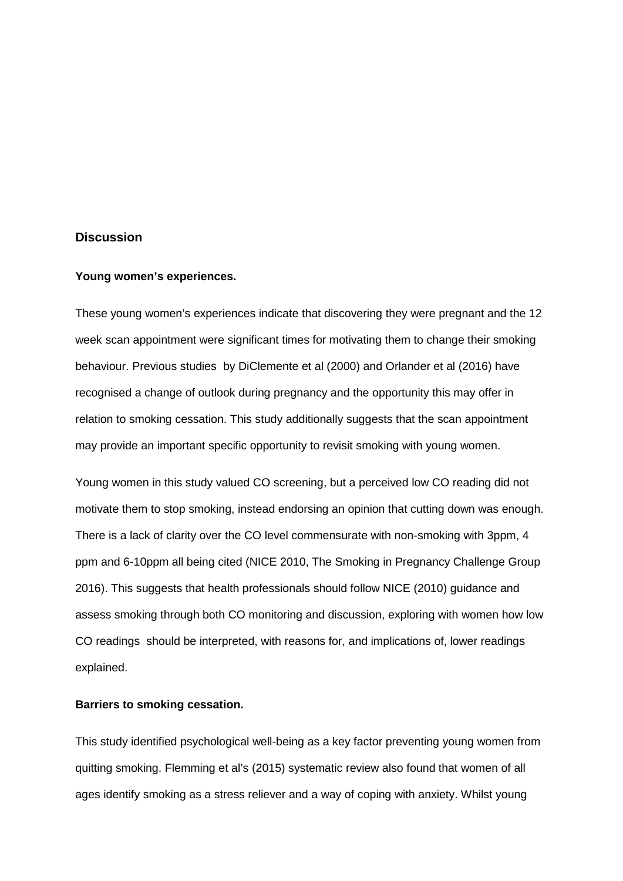# **Discussion**

#### **Young women's experiences.**

These young women's experiences indicate that discovering they were pregnant and the 12 week scan appointment were significant times for motivating them to change their smoking behaviour. Previous studies by DiClemente et al (2000) and Orlander et al (2016) have recognised a change of outlook during pregnancy and the opportunity this may offer in relation to smoking cessation. This study additionally suggests that the scan appointment may provide an important specific opportunity to revisit smoking with young women.

Young women in this study valued CO screening, but a perceived low CO reading did not motivate them to stop smoking, instead endorsing an opinion that cutting down was enough. There is a lack of clarity over the CO level commensurate with non-smoking with 3ppm, 4 ppm and 6-10ppm all being cited (NICE 2010, The Smoking in Pregnancy Challenge Group 2016). This suggests that health professionals should follow NICE (2010) guidance and assess smoking through both CO monitoring and discussion, exploring with women how low CO readings should be interpreted, with reasons for, and implications of, lower readings explained.

#### **Barriers to smoking cessation.**

This study identified psychological well-being as a key factor preventing young women from quitting smoking. Flemming et al's (2015) systematic review also found that women of all ages identify smoking as a stress reliever and a way of coping with anxiety. Whilst young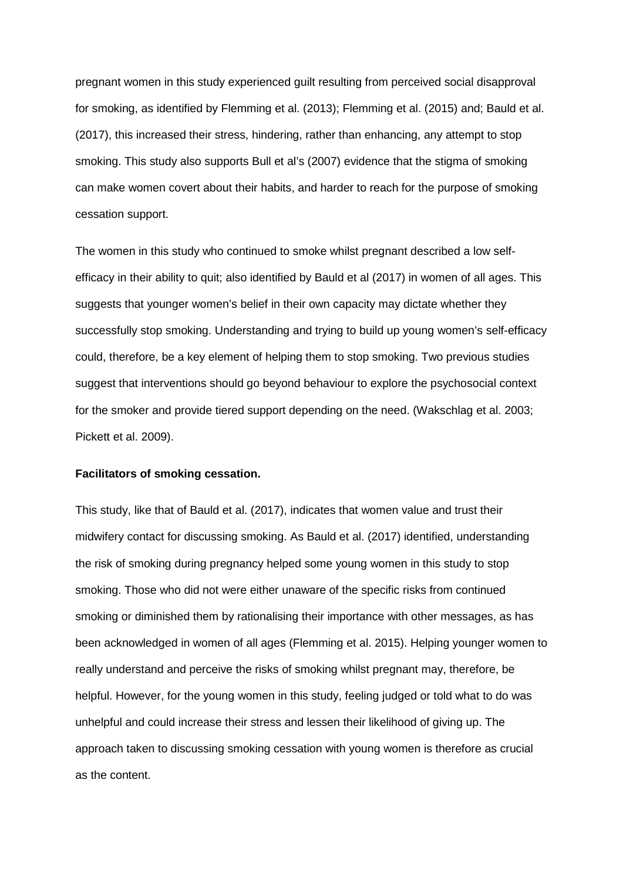pregnant women in this study experienced guilt resulting from perceived social disapproval for smoking, as identified by Flemming et al. (2013); Flemming et al. (2015) and; Bauld et al. (2017), this increased their stress, hindering, rather than enhancing, any attempt to stop smoking. This study also supports Bull et al's (2007) evidence that the stigma of smoking can make women covert about their habits, and harder to reach for the purpose of smoking cessation support.

The women in this study who continued to smoke whilst pregnant described a low selfefficacy in their ability to quit; also identified by Bauld et al (2017) in women of all ages. This suggests that younger women's belief in their own capacity may dictate whether they successfully stop smoking. Understanding and trying to build up young women's self-efficacy could, therefore, be a key element of helping them to stop smoking. Two previous studies suggest that interventions should go beyond behaviour to explore the psychosocial context for the smoker and provide tiered support depending on the need. (Wakschlag et al. 2003; Pickett et al. 2009).

#### **Facilitators of smoking cessation.**

This study, like that of Bauld et al. (2017), indicates that women value and trust their midwifery contact for discussing smoking. As Bauld et al. (2017) identified, understanding the risk of smoking during pregnancy helped some young women in this study to stop smoking. Those who did not were either unaware of the specific risks from continued smoking or diminished them by rationalising their importance with other messages, as has been acknowledged in women of all ages (Flemming et al. 2015). Helping younger women to really understand and perceive the risks of smoking whilst pregnant may, therefore, be helpful. However, for the young women in this study, feeling judged or told what to do was unhelpful and could increase their stress and lessen their likelihood of giving up. The approach taken to discussing smoking cessation with young women is therefore as crucial as the content.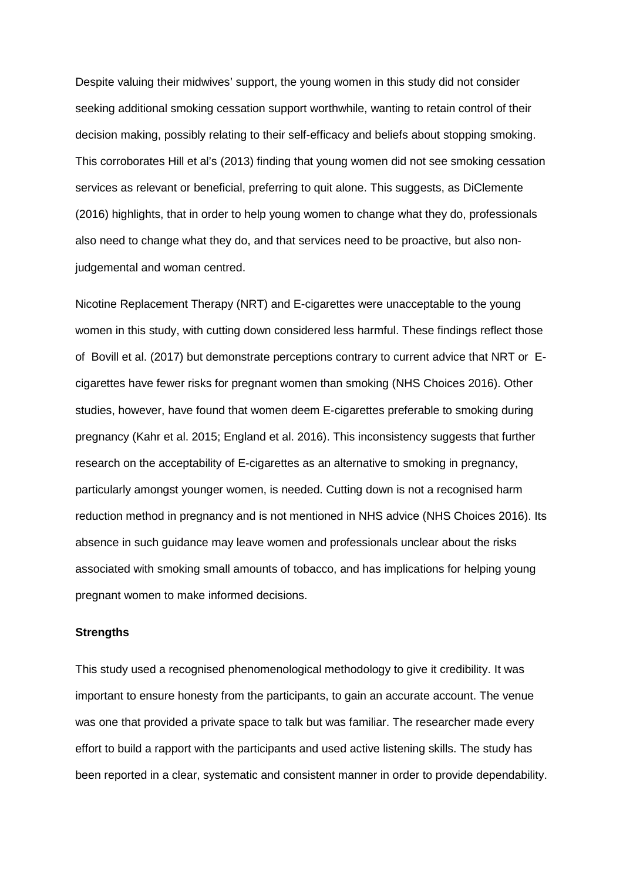Despite valuing their midwives' support, the young women in this study did not consider seeking additional smoking cessation support worthwhile, wanting to retain control of their decision making, possibly relating to their self-efficacy and beliefs about stopping smoking. This corroborates Hill et al's (2013) finding that young women did not see smoking cessation services as relevant or beneficial, preferring to quit alone. This suggests, as DiClemente (2016) highlights, that in order to help young women to change what they do, professionals also need to change what they do, and that services need to be proactive, but also nonjudgemental and woman centred.

Nicotine Replacement Therapy (NRT) and E-cigarettes were unacceptable to the young women in this study, with cutting down considered less harmful. These findings reflect those of Bovill et al. (2017) but demonstrate perceptions contrary to current advice that NRT or Ecigarettes have fewer risks for pregnant women than smoking (NHS Choices 2016). Other studies, however, have found that women deem E-cigarettes preferable to smoking during pregnancy (Kahr et al. 2015; England et al. 2016). This inconsistency suggests that further research on the acceptability of E-cigarettes as an alternative to smoking in pregnancy, particularly amongst younger women, is needed. Cutting down is not a recognised harm reduction method in pregnancy and is not mentioned in NHS advice (NHS Choices 2016). Its absence in such guidance may leave women and professionals unclear about the risks associated with smoking small amounts of tobacco, and has implications for helping young pregnant women to make informed decisions.

#### **Strengths**

This study used a recognised phenomenological methodology to give it credibility. It was important to ensure honesty from the participants, to gain an accurate account. The venue was one that provided a private space to talk but was familiar. The researcher made every effort to build a rapport with the participants and used active listening skills. The study has been reported in a clear, systematic and consistent manner in order to provide dependability.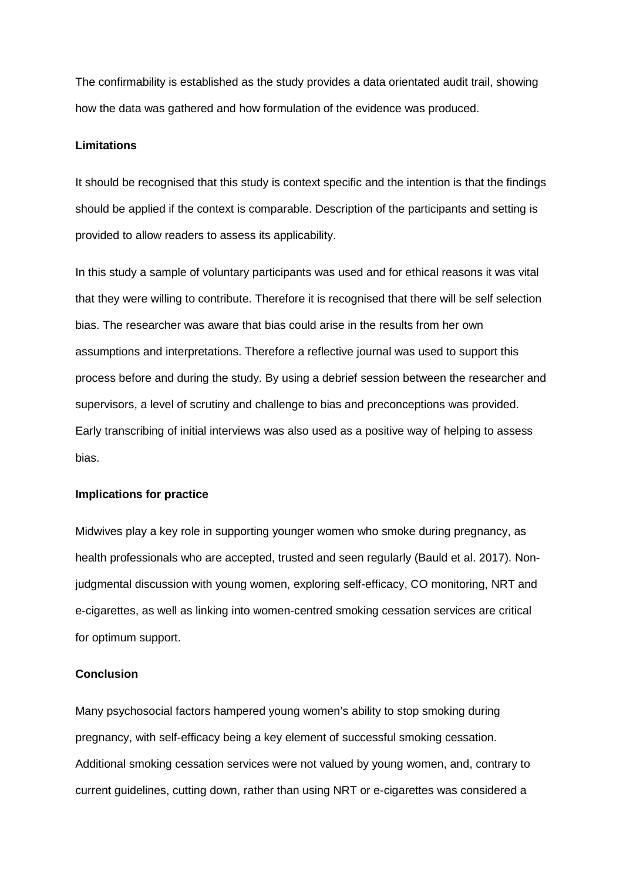The confirmability is established as the study provides a data orientated audit trail, showing how the data was gathered and how formulation of the evidence was produced.

# **Limitations**

It should be recognised that this study is context specific and the intention is that the findings should be applied if the context is comparable. Description of the participants and setting is provided to allow readers to assess its applicability.

In this study a sample of voluntary participants was used and for ethical reasons it was vital that they were willing to contribute. Therefore it is recognised that there will be self selection bias. The researcher was aware that bias could arise in the results from her own assumptions and interpretations. Therefore a reflective journal was used to support this process before and during the study. By using a debrief session between the researcher and supervisors, a level of scrutiny and challenge to bias and preconceptions was provided. Early transcribing of initial interviews was also used as a positive way of helping to assess bias.

# **Implications for practice**

Midwives play a key role in supporting younger women who smoke during pregnancy, as health professionals who are accepted, trusted and seen regularly (Bauld et al. 2017). Nonjudgmental discussion with young women, exploring self-efficacy, CO monitoring, NRT and e-cigarettes, as well as linking into women-centred smoking cessation services are critical for optimum support.

#### **Conclusion**

Many psychosocial factors hampered young women's ability to stop smoking during pregnancy, with self-efficacy being a key element of successful smoking cessation. Additional smoking cessation services were not valued by young women, and, contrary to current guidelines, cutting down, rather than using NRT or e-cigarettes was considered a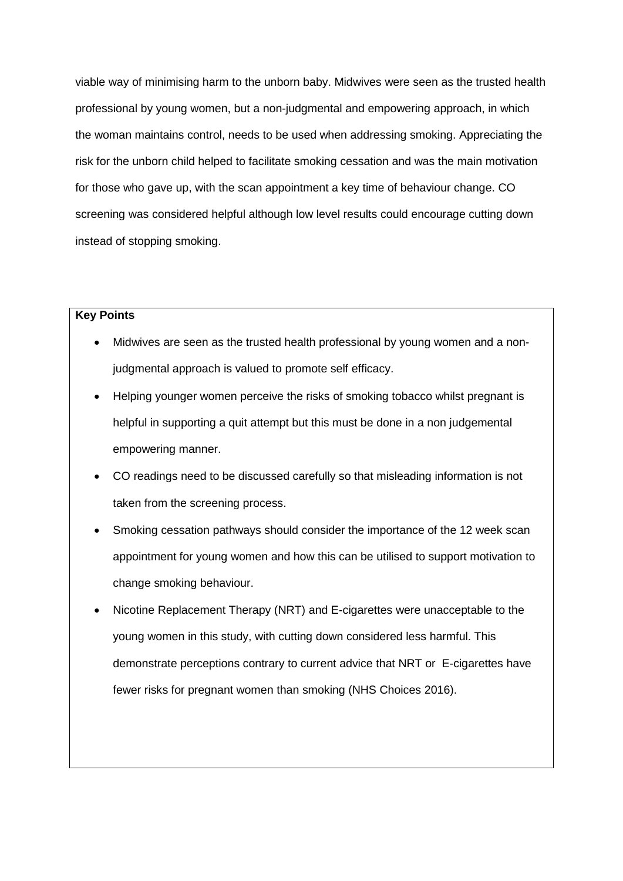viable way of minimising harm to the unborn baby. Midwives were seen as the trusted health professional by young women, but a non-judgmental and empowering approach, in which the woman maintains control, needs to be used when addressing smoking. Appreciating the risk for the unborn child helped to facilitate smoking cessation and was the main motivation for those who gave up, with the scan appointment a key time of behaviour change. CO screening was considered helpful although low level results could encourage cutting down instead of stopping smoking.

# **Key Points**

- Midwives are seen as the trusted health professional by young women and a nonjudgmental approach is valued to promote self efficacy.
- Helping younger women perceive the risks of smoking tobacco whilst pregnant is helpful in supporting a quit attempt but this must be done in a non judgemental empowering manner.
- CO readings need to be discussed carefully so that misleading information is not taken from the screening process.
- Smoking cessation pathways should consider the importance of the 12 week scan appointment for young women and how this can be utilised to support motivation to change smoking behaviour.
- Nicotine Replacement Therapy (NRT) and E-cigarettes were unacceptable to the young women in this study, with cutting down considered less harmful. This demonstrate perceptions contrary to current advice that NRT or E-cigarettes have fewer risks for pregnant women than smoking (NHS Choices 2016).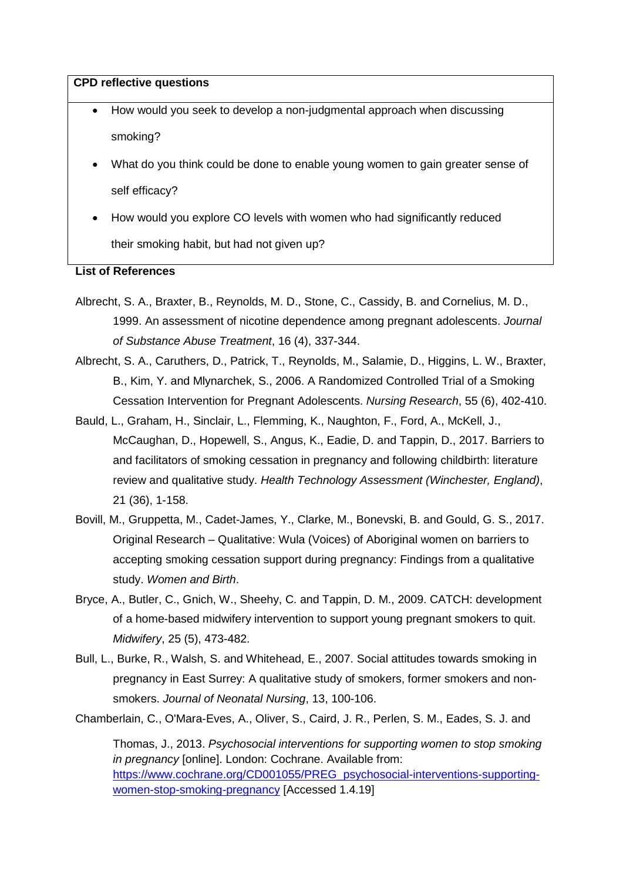#### **CPD reflective questions**

- How would you seek to develop a non-judgmental approach when discussing smoking?
- What do you think could be done to enable young women to gain greater sense of self efficacy?
- How would you explore CO levels with women who had significantly reduced their smoking habit, but had not given up?

# **List of References**

- Albrecht, S. A., Braxter, B., Reynolds, M. D., Stone, C., Cassidy, B. and Cornelius, M. D., 1999. An assessment of nicotine dependence among pregnant adolescents. *Journal of Substance Abuse Treatment*, 16 (4), 337-344.
- Albrecht, S. A., Caruthers, D., Patrick, T., Reynolds, M., Salamie, D., Higgins, L. W., Braxter, B., Kim, Y. and Mlynarchek, S., 2006. A Randomized Controlled Trial of a Smoking Cessation Intervention for Pregnant Adolescents. *Nursing Research*, 55 (6), 402-410.
- Bauld, L., Graham, H., Sinclair, L., Flemming, K., Naughton, F., Ford, A., McKell, J., McCaughan, D., Hopewell, S., Angus, K., Eadie, D. and Tappin, D., 2017. Barriers to and facilitators of smoking cessation in pregnancy and following childbirth: literature review and qualitative study. *Health Technology Assessment (Winchester, England)*, 21 (36), 1-158.
- Bovill, M., Gruppetta, M., Cadet-James, Y., Clarke, M., Bonevski, B. and Gould, G. S., 2017. Original Research – Qualitative: Wula (Voices) of Aboriginal women on barriers to accepting smoking cessation support during pregnancy: Findings from a qualitative study. *Women and Birth*.
- Bryce, A., Butler, C., Gnich, W., Sheehy, C. and Tappin, D. M., 2009. CATCH: development of a home-based midwifery intervention to support young pregnant smokers to quit. *Midwifery*, 25 (5), 473-482.
- Bull, L., Burke, R., Walsh, S. and Whitehead, E., 2007. Social attitudes towards smoking in pregnancy in East Surrey: A qualitative study of smokers, former smokers and nonsmokers. *Journal of Neonatal Nursing*, 13, 100-106.
- Chamberlain, C., O'Mara-Eves, A., Oliver, S., Caird, J. R., Perlen, S. M., Eades, S. J. and

Thomas, J., 2013. *Psychosocial interventions for supporting women to stop smoking in pregnancy* [online]. London: Cochrane. Available from: [https://www.cochrane.org/CD001055/PREG\\_psychosocial-interventions-supporting](https://www.cochrane.org/CD001055/PREG_psychosocial-interventions-supporting-women-stop-smoking-pregnancy)[women-stop-smoking-pregnancy](https://www.cochrane.org/CD001055/PREG_psychosocial-interventions-supporting-women-stop-smoking-pregnancy) [Accessed 1.4.19]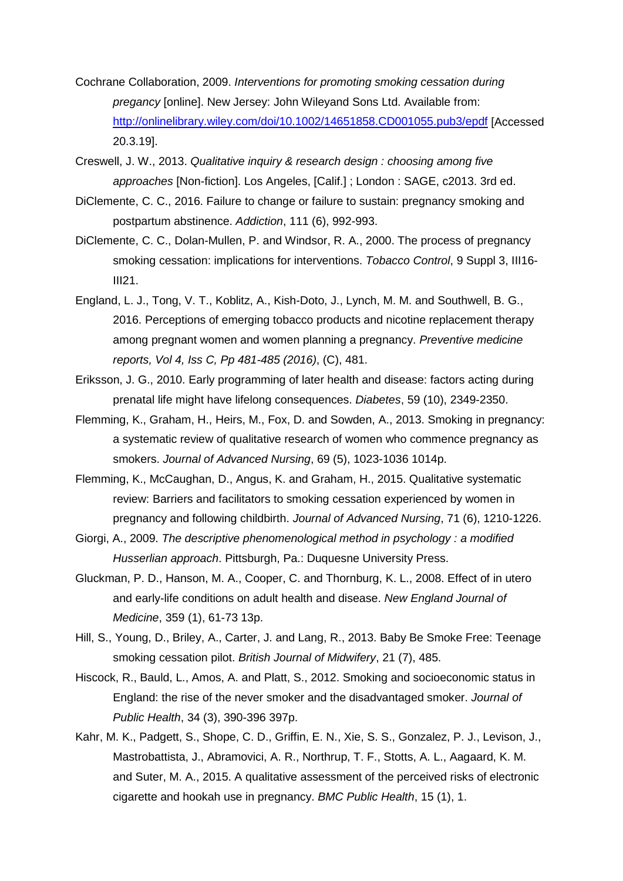- Cochrane Collaboration, 2009. *Interventions for promoting smoking cessation during pregancy* [online]. New Jersey: John Wileyand Sons Ltd. Available from: <http://onlinelibrary.wiley.com/doi/10.1002/14651858.CD001055.pub3/epdf> [Accessed 20.3.19].
- Creswell, J. W., 2013. *Qualitative inquiry & research design : choosing among five approaches* [Non-fiction]. Los Angeles, [Calif.] ; London : SAGE, c2013. 3rd ed.
- DiClemente, C. C., 2016. Failure to change or failure to sustain: pregnancy smoking and postpartum abstinence. *Addiction*, 111 (6), 992-993.
- DiClemente, C. C., Dolan-Mullen, P. and Windsor, R. A., 2000. The process of pregnancy smoking cessation: implications for interventions. *Tobacco Control*, 9 Suppl 3, III16- III21.
- England, L. J., Tong, V. T., Koblitz, A., Kish-Doto, J., Lynch, M. M. and Southwell, B. G., 2016. Perceptions of emerging tobacco products and nicotine replacement therapy among pregnant women and women planning a pregnancy. *Preventive medicine reports, Vol 4, Iss C, Pp 481-485 (2016)*, (C), 481.
- Eriksson, J. G., 2010. Early programming of later health and disease: factors acting during prenatal life might have lifelong consequences. *Diabetes*, 59 (10), 2349-2350.
- Flemming, K., Graham, H., Heirs, M., Fox, D. and Sowden, A., 2013. Smoking in pregnancy: a systematic review of qualitative research of women who commence pregnancy as smokers. *Journal of Advanced Nursing*, 69 (5), 1023-1036 1014p.
- Flemming, K., McCaughan, D., Angus, K. and Graham, H., 2015. Qualitative systematic review: Barriers and facilitators to smoking cessation experienced by women in pregnancy and following childbirth. *Journal of Advanced Nursing*, 71 (6), 1210-1226.
- Giorgi, A., 2009. *The descriptive phenomenological method in psychology : a modified Husserlian approach*. Pittsburgh, Pa.: Duquesne University Press.
- Gluckman, P. D., Hanson, M. A., Cooper, C. and Thornburg, K. L., 2008. Effect of in utero and early-life conditions on adult health and disease. *New England Journal of Medicine*, 359 (1), 61-73 13p.
- Hill, S., Young, D., Briley, A., Carter, J. and Lang, R., 2013. Baby Be Smoke Free: Teenage smoking cessation pilot. *British Journal of Midwifery*, 21 (7), 485.
- Hiscock, R., Bauld, L., Amos, A. and Platt, S., 2012. Smoking and socioeconomic status in England: the rise of the never smoker and the disadvantaged smoker. *Journal of Public Health*, 34 (3), 390-396 397p.
- Kahr, M. K., Padgett, S., Shope, C. D., Griffin, E. N., Xie, S. S., Gonzalez, P. J., Levison, J., Mastrobattista, J., Abramovici, A. R., Northrup, T. F., Stotts, A. L., Aagaard, K. M. and Suter, M. A., 2015. A qualitative assessment of the perceived risks of electronic cigarette and hookah use in pregnancy. *BMC Public Health*, 15 (1), 1.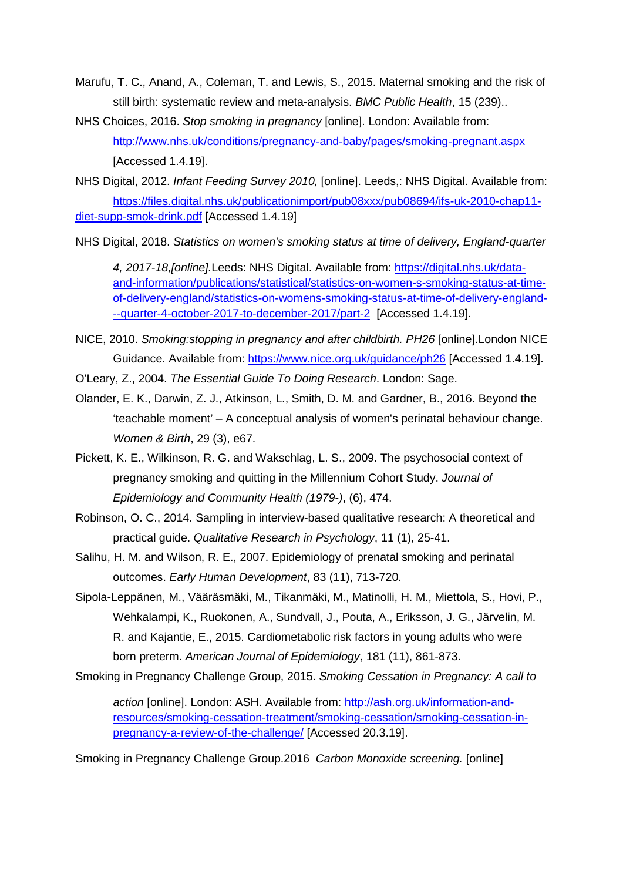- Marufu, T. C., Anand, A., Coleman, T. and Lewis, S., 2015. Maternal smoking and the risk of still birth: systematic review and meta-analysis. *BMC Public Health*, 15 (239)..
- NHS Choices, 2016. *Stop smoking in pregnancy* [online]. London: Available from: <http://www.nhs.uk/conditions/pregnancy-and-baby/pages/smoking-pregnant.aspx> [Accessed 1.4.19].
- NHS Digital, 2012. *Infant Feeding Survey 2010,* [online]. Leeds,: NHS Digital. Available from: [https://files.digital.nhs.uk/publicationimport/pub08xxx/pub08694/ifs-uk-2010-chap11](https://files.digital.nhs.uk/publicationimport/pub08xxx/pub08694/ifs-uk-2010-chap11-diet-supp-smok-drink.pdf) [diet-supp-smok-drink.pdf](https://files.digital.nhs.uk/publicationimport/pub08xxx/pub08694/ifs-uk-2010-chap11-diet-supp-smok-drink.pdf) [Accessed 1.4.19]

NHS Digital, 2018. *Statistics on women's smoking status at time of delivery, England-quarter* 

*4, 2017-18,[online].*Leeds: NHS Digital. Available from: [https://digital.nhs.uk/data](https://digital.nhs.uk/data-and-information/publications/statistical/statistics-on-women-s-smoking-status-at-time-of-delivery-england/statistics-on-womens-smoking-status-at-time-of-delivery-england---quarter-4-october-2017-to-december-2017/part-2)[and-information/publications/statistical/statistics-on-women-s-smoking-status-at-time](https://digital.nhs.uk/data-and-information/publications/statistical/statistics-on-women-s-smoking-status-at-time-of-delivery-england/statistics-on-womens-smoking-status-at-time-of-delivery-england---quarter-4-october-2017-to-december-2017/part-2)[of-delivery-england/statistics-on-womens-smoking-status-at-time-of-delivery-england-](https://digital.nhs.uk/data-and-information/publications/statistical/statistics-on-women-s-smoking-status-at-time-of-delivery-england/statistics-on-womens-smoking-status-at-time-of-delivery-england---quarter-4-october-2017-to-december-2017/part-2) [--quarter-4-october-2017-to-december-2017/part-2](https://digital.nhs.uk/data-and-information/publications/statistical/statistics-on-women-s-smoking-status-at-time-of-delivery-england/statistics-on-womens-smoking-status-at-time-of-delivery-england---quarter-4-october-2017-to-december-2017/part-2) [Accessed 1.4.19].

- NICE, 2010. *Smoking:stopping in pregnancy and after childbirth. PH26* [online].London NICE Guidance. Available from:<https://www.nice.org.uk/guidance/ph26> [Accessed 1.4.19].
- O'Leary, Z., 2004. *The Essential Guide To Doing Research*. London: Sage.
- Olander, E. K., Darwin, Z. J., Atkinson, L., Smith, D. M. and Gardner, B., 2016. Beyond the 'teachable moment' – A conceptual analysis of women's perinatal behaviour change. *Women & Birth*, 29 (3), e67.
- Pickett, K. E., Wilkinson, R. G. and Wakschlag, L. S., 2009. The psychosocial context of pregnancy smoking and quitting in the Millennium Cohort Study. *Journal of Epidemiology and Community Health (1979-)*, (6), 474.
- Robinson, O. C., 2014. Sampling in interview-based qualitative research: A theoretical and practical guide. *Qualitative Research in Psychology*, 11 (1), 25-41.
- Salihu, H. M. and Wilson, R. E., 2007. Epidemiology of prenatal smoking and perinatal outcomes. *Early Human Development*, 83 (11), 713-720.
- Sipola-Leppänen, M., Vääräsmäki, M., Tikanmäki, M., Matinolli, H. M., Miettola, S., Hovi, P., Wehkalampi, K., Ruokonen, A., Sundvall, J., Pouta, A., Eriksson, J. G., Järvelin, M. R. and Kajantie, E., 2015. Cardiometabolic risk factors in young adults who were born preterm. *American Journal of Epidemiology*, 181 (11), 861-873.
- Smoking in Pregnancy Challenge Group, 2015. *Smoking Cessation in Pregnancy: A call to*

*action* [online]. London: ASH. Available from: [http://ash.org.uk/information-and](http://ash.org.uk/information-and-resources/smoking-cessation-treatment/smoking-cessation/smoking-cessation-in-pregnancy-a-review-of-the-challenge/)[resources/smoking-cessation-treatment/smoking-cessation/smoking-cessation-in](http://ash.org.uk/information-and-resources/smoking-cessation-treatment/smoking-cessation/smoking-cessation-in-pregnancy-a-review-of-the-challenge/)[pregnancy-a-review-of-the-challenge/](http://ash.org.uk/information-and-resources/smoking-cessation-treatment/smoking-cessation/smoking-cessation-in-pregnancy-a-review-of-the-challenge/) [Accessed 20.3.19].

Smoking in Pregnancy Challenge Group.2016 *Carbon Monoxide screening.* [online]